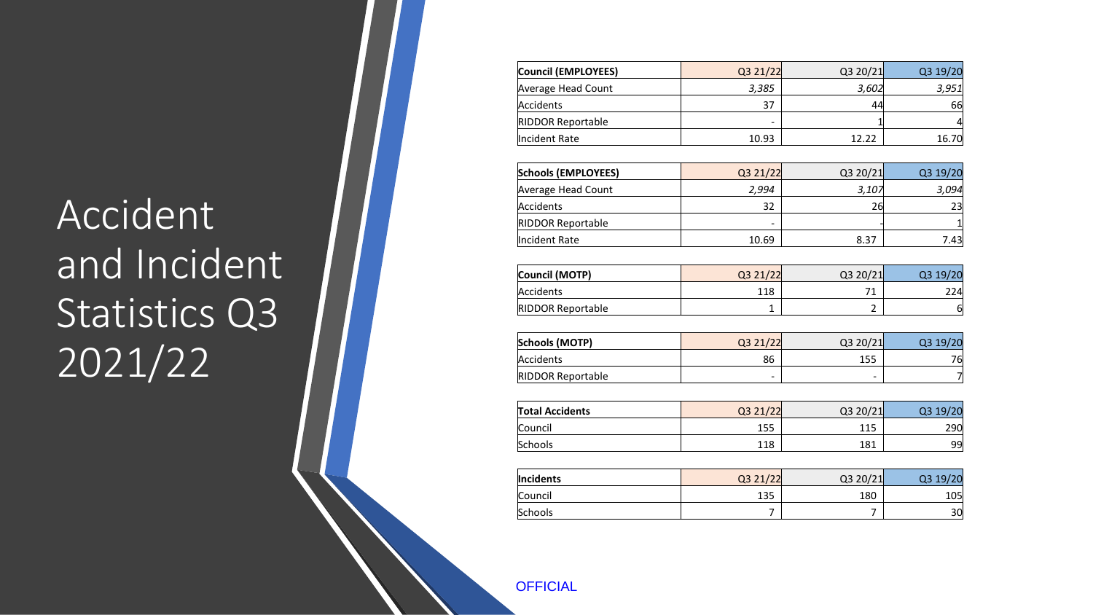### Accident and Incident Statistics Q3 2021/22

| Council (EMPLOYEES)      | Q3 21/22 | Q3 20/21 | Q3 19/20       |
|--------------------------|----------|----------|----------------|
| Average Head Count       | 3,385    | 3,602    | 3,951          |
| Accidents                | 37       | 44       | 66             |
| <b>RIDDOR Reportable</b> |          | 1        | 4              |
| Incident Rate            | 10.93    | 12.22    | 16.70          |
| Schools (EMPLOYEES)      | Q3 21/22 | Q3 20/21 | Q3 19/20       |
| Average Head Count       | 2,994    | 3,107    | 3,094          |
| Accidents                | 32       | 26       | 23             |
| <b>RIDDOR Reportable</b> |          |          |                |
| Incident Rate            | 10.69    | 8.37     | 7.43           |
| Council (MOTP)           | Q3 21/22 | Q3 20/21 | Q3 19/20       |
| Accidents                | 118      | 71       | 224            |
| <b>RIDDOR Reportable</b> | 1        | 2        | 6              |
| Schools (MOTP)           | Q3 21/22 | Q3 20/21 | Q3 19/20       |
| Accidents                | 86       | 155      | 76             |
| <b>RIDDOR Reportable</b> |          |          | $\overline{7}$ |
| <b>Total Accidents</b>   | Q3 21/22 | Q3 20/21 | Q3 19/20       |
| Council                  | 155      | 115      | 290            |
| Schools                  | 118      | 181      | 99             |
| Incidents                | Q3 21/22 | Q3 20/21 | Q3 19/20       |
| Council                  | 135      | 180      | 105            |
| Schools                  | 7        | 7        | 30             |
|                          |          |          |                |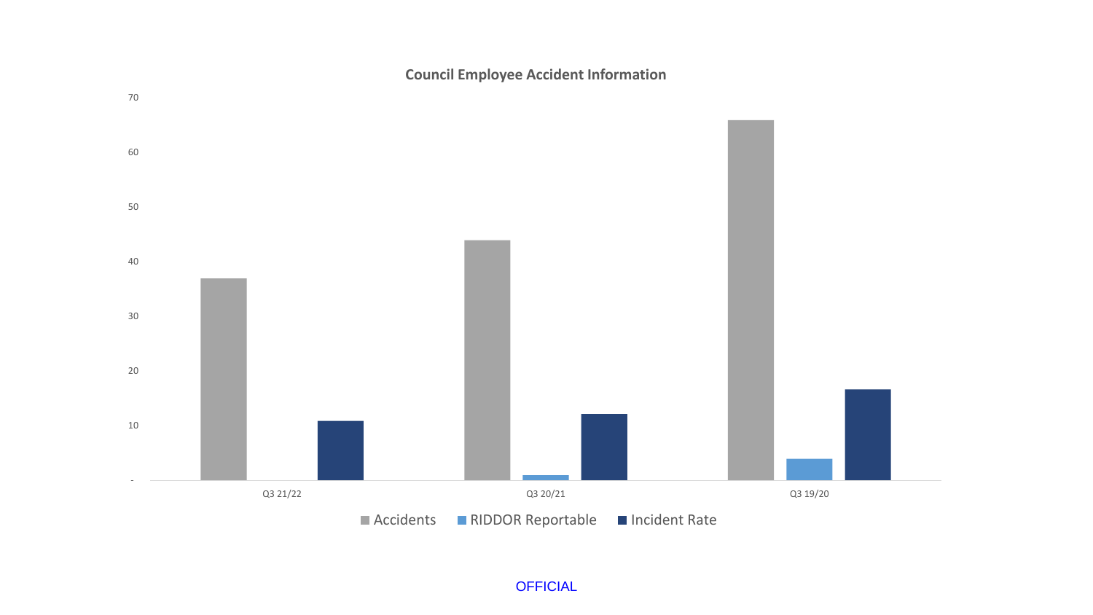**Council Employee Accident Information**

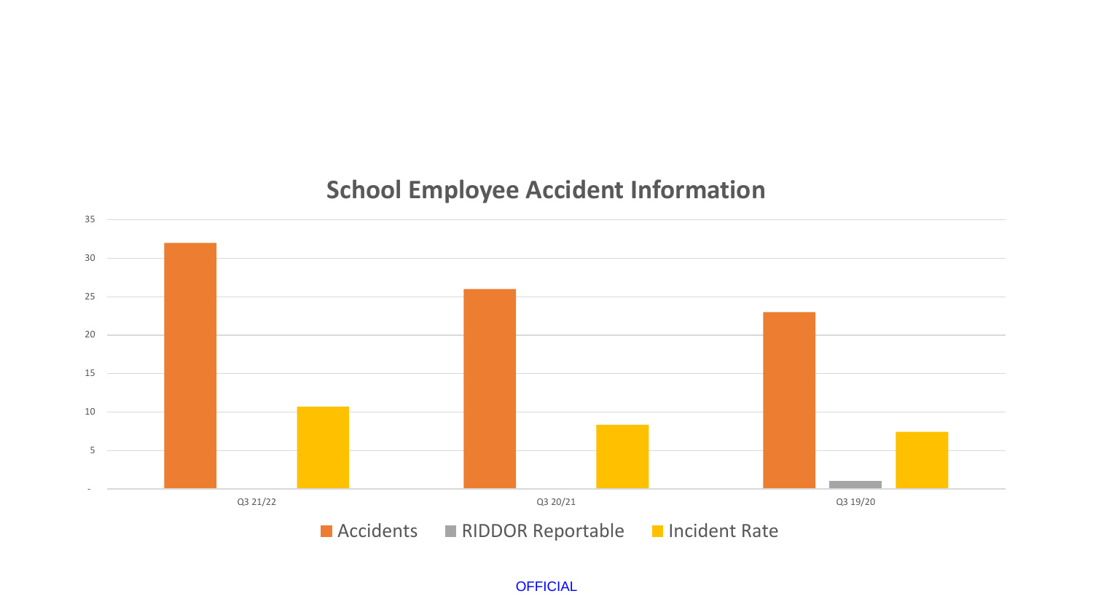### **School Employee Accident Information**

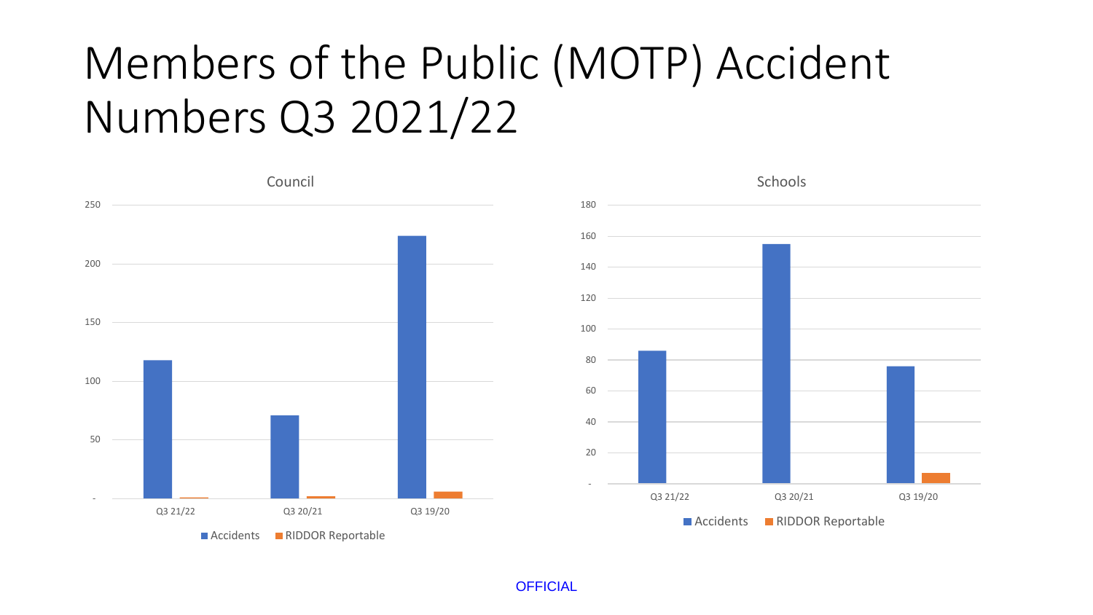## Members of the Public (MOTP) Accident Numbers Q3 2021/22

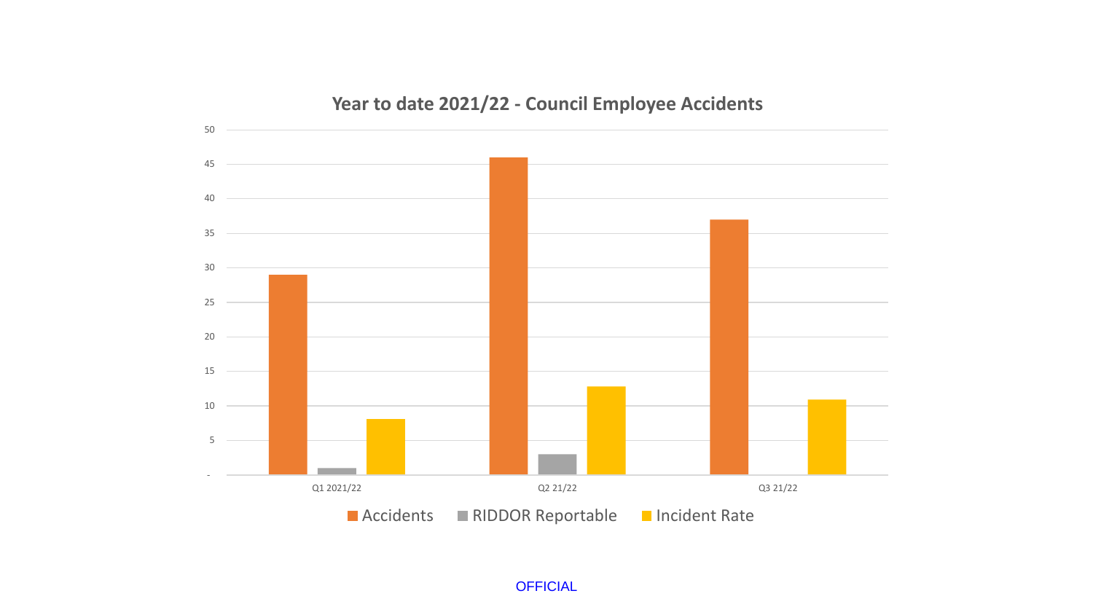#### **Year to date 2021/22 - Council Employee Accidents**

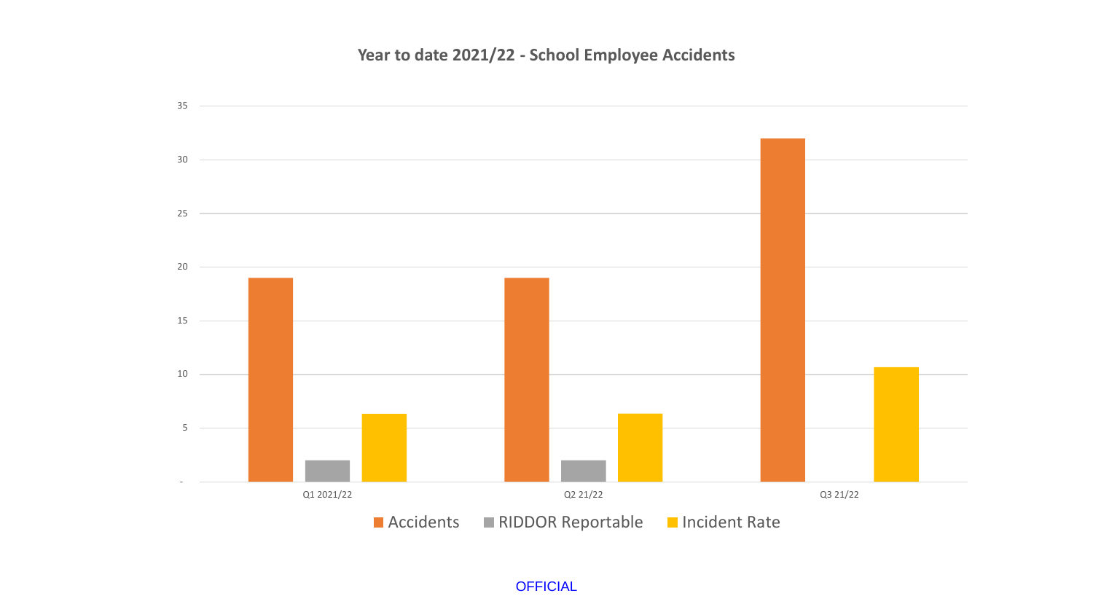#### **Year to date 2021/22 - School Employee Accidents**

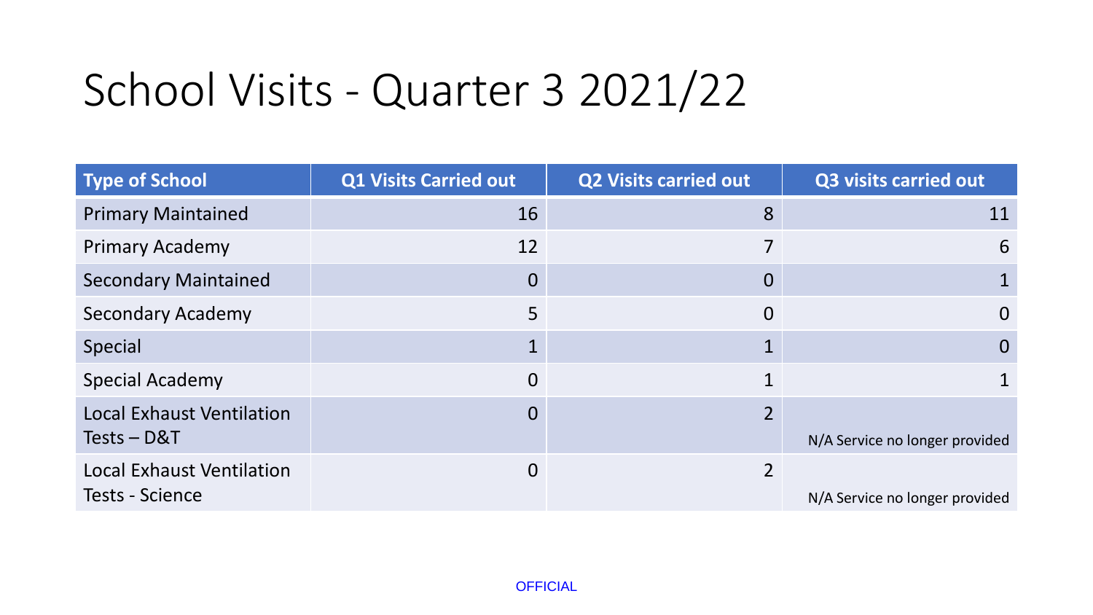# School Visits - Quarter 3 2021/22

| <b>Type of School</b>            | <b>Q1 Visits Carried out</b> | <b>Q2 Visits carried out</b> | <b>Q3 visits carried out</b>   |
|----------------------------------|------------------------------|------------------------------|--------------------------------|
| <b>Primary Maintained</b>        | 16                           | 8                            | 11                             |
| <b>Primary Academy</b>           | 12                           |                              | 6                              |
| <b>Secondary Maintained</b>      | $\overline{0}$               | 0                            |                                |
| <b>Secondary Academy</b>         | 5                            | $\mathbf 0$                  | $\overline{0}$                 |
| <b>Special</b>                   | 1                            |                              | $\overline{0}$                 |
| <b>Special Academy</b>           | $\overline{0}$               | 1                            |                                |
| <b>Local Exhaust Ventilation</b> | $\overline{0}$               | $\mathcal{P}$                |                                |
| Tests - D&T                      |                              |                              | N/A Service no longer provided |
| <b>Local Exhaust Ventilation</b> | 0                            | 2                            |                                |
| <b>Tests - Science</b>           |                              |                              | N/A Service no longer provided |